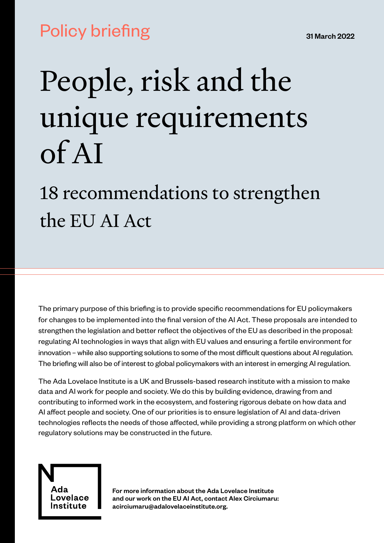# Policy briefing

# People, risk and the unique requirements of AI

# 18 recommendations to strengthen the EU AI Act

The primary purpose of this briefing is to provide specific recommendations for EU policymakers for changes to be implemented into the final version of the AI Act. These proposals are intended to strengthen the legislation and better reflect the objectives of the EU as described in the proposal: regulating AI technologies in ways that align with EU values and ensuring a fertile environment for innovation – while also supporting solutions to some of the most difficult questions about AI regulation. The briefing will also be of interest to global policymakers with an interest in emerging AI regulation.

The Ada Lovelace Institute is a UK and Brussels-based research institute with a mission to make data and AI work for people and society. We do this by building evidence, drawing from and contributing to informed work in the ecosystem, and fostering rigorous debate on how data and AI affect people and society. One of our priorities is to ensure legislation of AI and data-driven technologies reflects the needs of those affected, while providing a strong platform on which other regulatory solutions may be constructed in the future.



For more information about the Ada Lovelace Institute and our work on the EU AI Act, contact Alex Circiumaru: acirciumaru@adalovelaceinstitute.org.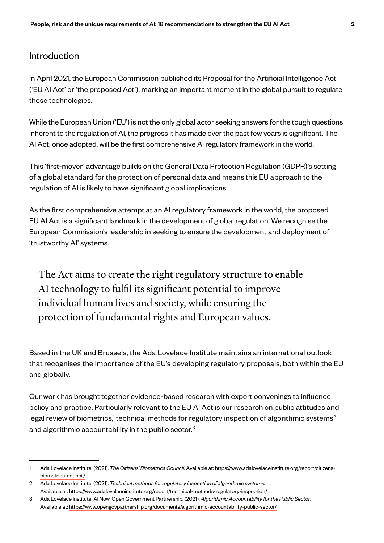# Introduction

In April 2021, the European Commission published its Proposal for the Artificial Intelligence Act ('EU AI Act' or 'the proposed Act'), marking an important moment in the global pursuit to regulate these technologies.

While the European Union ('EU') is not the only global actor seeking answers for the tough questions inherent to the regulation of AI, the progress it has made over the past few years is significant. The AI Act, once adopted, will be the first comprehensive AI regulatory framework in the world.

This 'first-mover' advantage builds on the General Data Protection Regulation (GDPR)'s setting of a global standard for the protection of personal data and means this EU approach to the regulation of AI is likely to have significant global implications.

As the first comprehensive attempt at an AI regulatory framework in the world, the proposed EU AI Act is a significant landmark in the development of global regulation. We recognise the European Commission's leadership in seeking to ensure the development and deployment of 'trustworthy AI' systems.

The Act aims to create the right regulatory structure to enable AI technology to fulfil its significant potential to improve individual human lives and society, while ensuring the protection of fundamental rights and European values.

Based in the UK and Brussels, the Ada Lovelace Institute maintains an international outlook that recognises the importance of the EU's developing regulatory proposals, both within the EU and globally.

Our work has brought together evidence-based research with expert convenings to influence policy and practice. Particularly relevant to the EU AI Act is our research on public attitudes and legal review of biometrics, $^1$  technical methods for regulatory inspection of algorithmic systems $^2$ and algorithmic accountability in the public sector.<sup>3</sup>

<sup>1</sup> Ada Lovelace Institute. (2021). *The Citizens' Biometrics Council*. Available at: https://www.adalovelaceinstitute.org/report/citizensbiometrics-council/

<sup>2</sup> Ada Lovelace Institute. (2021). *Technical methods for regulatory inspection of algorithmic systems.* Available at: https://www.adalovelaceinstitute.org/report/technical-methods-regulatory-inspection/

<sup>3</sup> Ada Lovelace Institute, AI Now, Open Government Partnership. (2021). *Algorithmic Accountability for the Public Sector*. Available at: https://www.opengovpartnership.org/documents/algorithmic-accountability-public-sector/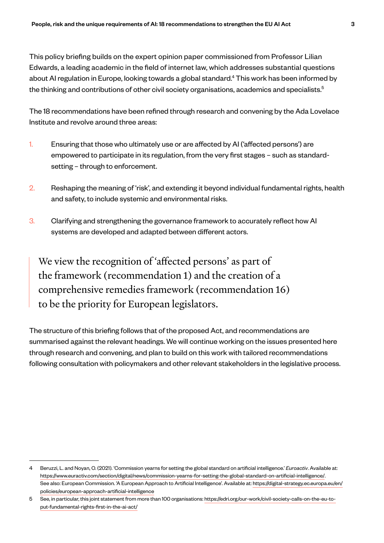This policy briefing builds on the expert opinion paper commissioned from Professor Lilian Edwards, a leading academic in the field of internet law, which addresses substantial questions about AI regulation in Europe, looking towards a global standard.<sup>4</sup> This work has been informed by the thinking and contributions of other civil society organisations, academics and specialists.<sup>5</sup>

The 18 recommendations have been refined through research and convening by the Ada Lovelace Institute and revolve around three areas:

- 1. Ensuring that those who ultimately use or are affected by AI ('affected persons') are empowered to participate in its regulation, from the very first stages – such as standardsetting – through to enforcement.
- 2. Reshaping the meaning of 'risk', and extending it beyond individual fundamental rights, health and safety, to include systemic and environmental risks.
- 3. Clarifying and strengthening the governance framework to accurately reflect how AI systems are developed and adapted between different actors.

We view the recognition of 'affected persons' as part of the framework (recommendation 1) and the creation of a comprehensive remedies framework (recommendation 16) to be the priority for European legislators.

The structure of this briefing follows that of the proposed Act, and recommendations are summarised against the relevant headings. We will continue working on the issues presented here through research and convening, and plan to build on this work with tailored recommendations following consultation with policymakers and other relevant stakeholders in the legislative process.

<sup>4</sup> Beruzzi, L. and Noyan, O. (2021). 'Commission yearns for setting the global standard on artificial intelligence.' *Euroactiv*. Available at: https://www.euractiv.com/section/digital/news/commission-yearns-for-setting-the-global-standard-on-artificial-intelligence/. See also: European Commission. 'A European Approach to Artificial Intelligence'. Available at: https://digital-strategy.ec.europa.eu/en/ policies/european-approach-artificial-intelligence

<sup>5</sup> See, in particular, this joint statement from more than 100 organisations: https://edri.org/our-work/civil-society-calls-on-the-eu-toput-fundamental-rights-first-in-the-ai-act/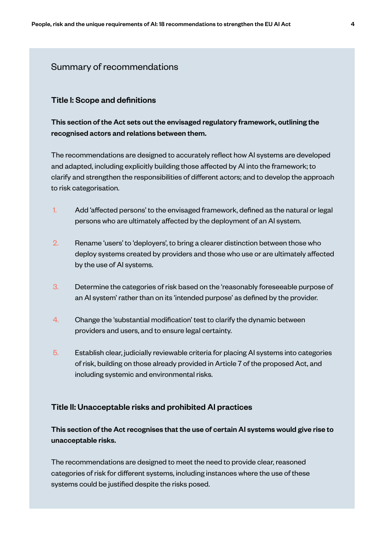### Summary of recommendations

#### Title I: Scope and definitions

This section of the Act sets out the envisaged regulatory framework, outlining the recognised actors and relations between them.

The recommendations are designed to accurately reflect how AI systems are developed and adapted, including explicitly building those affected by AI into the framework; to clarify and strengthen the responsibilities of different actors; and to develop the approach to risk categorisation.

- 1. Add 'affected persons' to the envisaged framework, defined as the natural or legal persons who are ultimately affected by the deployment of an AI system.
- 2. Rename 'users' to 'deployers', to bring a clearer distinction between those who deploy systems created by providers and those who use or are ultimately affected by the use of AI systems.
- 3. Determine the categories of risk based on the 'reasonably foreseeable purpose of an AI system' rather than on its 'intended purpose' as defined by the provider.
- 4. Change the 'substantial modification' test to clarify the dynamic between providers and users, and to ensure legal certainty.
- 5. Establish clear, judicially reviewable criteria for placing AI systems into categories of risk, building on those already provided in Article 7 of the proposed Act, and including systemic and environmental risks.

#### Title II: Unacceptable risks and prohibited AI practices

# This section of the Act recognises that the use of certain AI systems would give rise to unacceptable risks.

The recommendations are designed to meet the need to provide clear, reasoned categories of risk for different systems, including instances where the use of these systems could be justified despite the risks posed.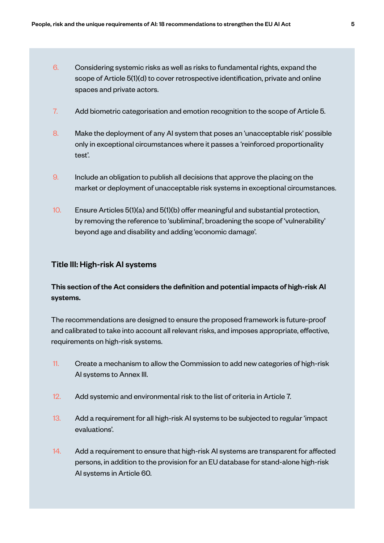- 6. Considering systemic risks as well as risks to fundamental rights, expand the scope of Article 5(1)(d) to cover retrospective identification, private and online spaces and private actors.
- 7. Add biometric categorisation and emotion recognition to the scope of Article 5.
- 8. Make the deployment of any AI system that poses an 'unacceptable risk' possible only in exceptional circumstances where it passes a 'reinforced proportionality test'.
- 9. Include an obligation to publish all decisions that approve the placing on the market or deployment of unacceptable risk systems in exceptional circumstances.
- 10. Ensure Articles 5(1)(a) and 5(1)(b) offer meaningful and substantial protection, by removing the reference to 'subliminal', broadening the scope of 'vulnerability' beyond age and disability and adding 'economic damage'.

#### Title III: High-risk AI systems

# This section of the Act considers the definition and potential impacts of high-risk AI systems.

The recommendations are designed to ensure the proposed framework is future-proof and calibrated to take into account all relevant risks, and imposes appropriate, effective, requirements on high-risk systems.

- 11. Create a mechanism to allow the Commission to add new categories of high-risk AI systems to Annex III.
- 12. Add systemic and environmental risk to the list of criteria in Article 7.
- 13. Add a requirement for all high-risk AI systems to be subjected to regular 'impact evaluations'.
- 14. Add a requirement to ensure that high-risk AI systems are transparent for affected persons, in addition to the provision for an EU database for stand-alone high-risk AI systems in Article 60.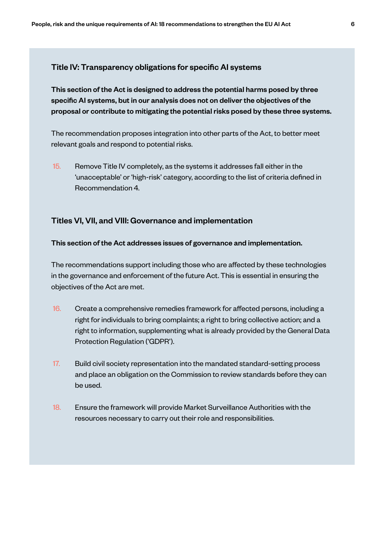#### Title IV: Transparency obligations for specific AI systems

This section of the Act is designed to address the potential harms posed by three specific AI systems, but in our analysis does not on deliver the objectives of the proposal or contribute to mitigating the potential risks posed by these three systems.

The recommendation proposes integration into other parts of the Act, to better meet relevant goals and respond to potential risks.

15. Remove Title IV completely, as the systems it addresses fall either in the 'unacceptable' or 'high-risk' category, according to the list of criteria defined in Recommendation 4.

#### Titles VI, VII, and VIII: Governance and implementation

#### This section of the Act addresses issues of governance and implementation.

The recommendations support including those who are affected by these technologies in the governance and enforcement of the future Act. This is essential in ensuring the objectives of the Act are met.

- 16. Create a comprehensive remedies framework for affected persons, including a right for individuals to bring complaints; a right to bring collective action; and a right to information, supplementing what is already provided by the General Data Protection Regulation ('GDPR').
- 17. Build civil society representation into the mandated standard-setting process and place an obligation on the Commission to review standards before they can be used.
- 18. Ensure the framework will provide Market Surveillance Authorities with the resources necessary to carry out their role and responsibilities.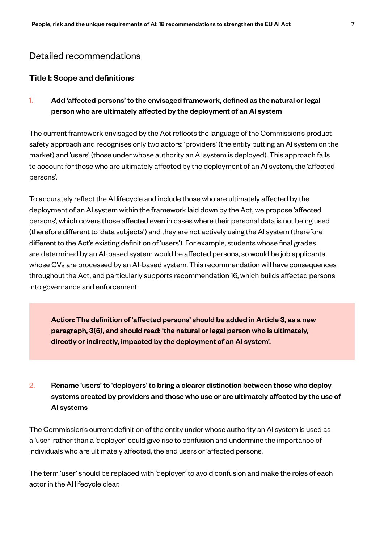# Detailed recommendations

#### Title I: Scope and definitions

1. Add 'affected persons' to the envisaged framework, defined as the natural or legal person who are ultimately affected by the deployment of an AI system

The current framework envisaged by the Act reflects the language of the Commission's product safety approach and recognises only two actors: 'providers' (the entity putting an AI system on the market) and 'users' (those under whose authority an AI system is deployed). This approach fails to account for those who are ultimately affected by the deployment of an AI system, the 'affected persons'.

To accurately reflect the AI lifecycle and include those who are ultimately affected by the deployment of an AI system within the framework laid down by the Act, we propose 'affected persons', which covers those affected even in cases where their personal data is not being used (therefore different to 'data subjects') and they are not actively using the AI system (therefore different to the Act's existing definition of 'users'). For example, students whose final grades are determined by an AI-based system would be affected persons, so would be job applicants whose CVs are processed by an AI-based system. This recommendation will have consequences throughout the Act, and particularly supports recommendation 16, which builds affected persons into governance and enforcement.

Action: The definition of 'affected persons' should be added in Article 3, as a new paragraph, 3(5), and should read: 'the natural or legal person who is ultimately, directly or indirectly, impacted by the deployment of an AI system'.

# 2. Rename 'users' to 'deployers' to bring a clearer distinction between those who deploy systems created by providers and those who use or are ultimately affected by the use of AI systems

The Commission's current definition of the entity under whose authority an AI system is used as a 'user' rather than a 'deployer' could give rise to confusion and undermine the importance of individuals who are ultimately affected, the end users or 'affected persons'.

The term 'user' should be replaced with 'deployer' to avoid confusion and make the roles of each actor in the AI lifecycle clear.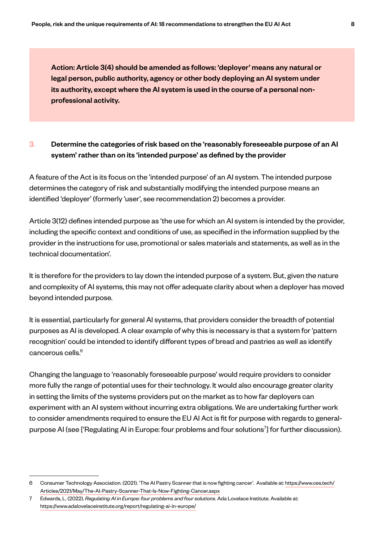Action: Article 3(4) should be amended as follows: 'deployer' means any natural or legal person, public authority, agency or other body deploying an AI system under its authority, except where the AI system is used in the course of a personal nonprofessional activity.

### 3. Determine the categories of risk based on the 'reasonably foreseeable purpose of an AI system' rather than on its 'intended purpose' as defined by the provider

A feature of the Act is its focus on the 'intended purpose' of an AI system. The intended purpose determines the category of risk and substantially modifying the intended purpose means an identified 'deployer' (formerly 'user', see recommendation 2) becomes a provider.

Article 3(12) defines intended purpose as 'the use for which an AI system is intended by the provider, including the specific context and conditions of use, as specified in the information supplied by the provider in the instructions for use, promotional or sales materials and statements, as well as in the technical documentation'.

It is therefore for the providers to lay down the intended purpose of a system. But, given the nature and complexity of AI systems, this may not offer adequate clarity about when a deployer has moved beyond intended purpose.

It is essential, particularly for general AI systems, that providers consider the breadth of potential purposes as AI is developed. A clear example of why this is necessary is that a system for 'pattern recognition' could be intended to identify different types of bread and pastries as well as identify cancerous cells.<sup>6</sup>

Changing the language to 'reasonably foreseeable purpose' would require providers to consider more fully the range of potential uses for their technology. It would also encourage greater clarity in setting the limits of the systems providers put on the market as to how far deployers can experiment with an AI system without incurring extra obligations. We are undertaking further work to consider amendments required to ensure the EU AI Act is fit for purpose with regards to generalpurpose AI (see ['Regulating AI in Europe: four problems and four solutions<sup>7</sup>] for further discussion).

<sup>6</sup> Consumer Technology Association. (2021). 'The AI Pastry Scanner that is now fighting cancer'. Available at: https://www.ces.tech/ Articles/2021/May/The-AI-Pastry-Scanner-That-Is-Now-Fighting-Cancer.aspx

<sup>7</sup> Edwards, L. (2022). *Regulating AI in Europe: four problems and four solutions*. Ada Lovelace Institute. Available at: https://www.adalovelaceinstitute.org/report/regulating-ai-in-europe/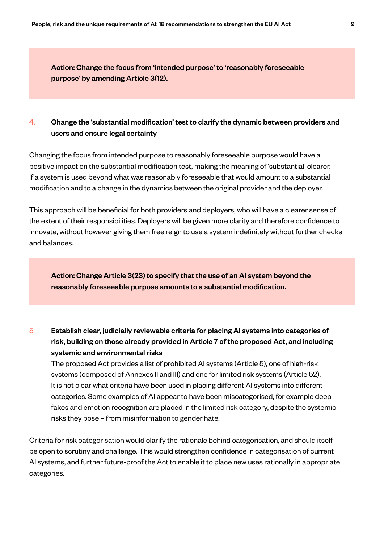Action: Change the focus from 'intended purpose' to 'reasonably foreseeable purpose' by amending Article 3(12).

### 4. Change the 'substantial modification' test to clarify the dynamic between providers and users and ensure legal certainty

Changing the focus from intended purpose to reasonably foreseeable purpose would have a positive impact on the substantial modification test, making the meaning of 'substantial' clearer. If a system is used beyond what was reasonably foreseeable that would amount to a substantial modification and to a change in the dynamics between the original provider and the deployer.

This approach will be beneficial for both providers and deployers, who will have a clearer sense of the extent of their responsibilities. Deployers will be given more clarity and therefore confidence to innovate, without however giving them free reign to use a system indefinitely without further checks and balances.

Action: Change Article 3(23) to specify that the use of an AI system beyond the reasonably foreseeable purpose amounts to a substantial modification.

# 5. Establish clear, judicially reviewable criteria for placing AI systems into categories of risk, building on those already provided in Article 7 of the proposed Act, and including systemic and environmental risks

The proposed Act provides a list of prohibited AI systems (Article 5), one of high-risk systems (composed of Annexes II and III) and one for limited risk systems (Article 52). It is not clear what criteria have been used in placing different AI systems into different categories. Some examples of AI appear to have been miscategorised, for example deep fakes and emotion recognition are placed in the limited risk category, despite the systemic risks they pose – from misinformation to gender hate.

Criteria for risk categorisation would clarify the rationale behind categorisation, and should itself be open to scrutiny and challenge. This would strengthen confidence in categorisation of current AI systems, and further future-proof the Act to enable it to place new uses rationally in appropriate categories.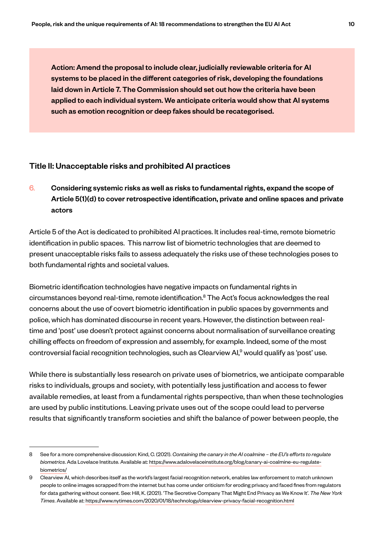Action: Amend the proposal to include clear, judicially reviewable criteria for AI systems to be placed in the different categories of risk, developing the foundations laid down in Article 7. The Commission should set out how the criteria have been applied to each individual system. We anticipate criteria would show that AI systems such as emotion recognition or deep fakes should be recategorised.

#### Title II: Unacceptable risks and prohibited AI practices

6. Considering systemic risks as well as risks to fundamental rights, expand the scope of Article 5(1)(d) to cover retrospective identification, private and online spaces and private actors

Article 5 of the Act is dedicated to prohibited AI practices. It includes real-time, remote biometric identification in public spaces. This narrow list of biometric technologies that are deemed to present unacceptable risks fails to assess adequately the risks use of these technologies poses to both fundamental rights and societal values.

Biometric identification technologies have negative impacts on fundamental rights in circumstances beyond real-time, remote identification.<sup>8</sup> The Act's focus acknowledges the real concerns about the use of covert biometric identification in public spaces by governments and police, which has dominated discourse in recent years. However, the distinction between realtime and 'post' use doesn't protect against concerns about normalisation of surveillance creating chilling effects on freedom of expression and assembly, for example. Indeed, some of the most controversial facial recognition technologies, such as Clearview AI,<sup>9</sup> would qualify as 'post' use.

While there is substantially less research on private uses of biometrics, we anticipate comparable risks to individuals, groups and society, with potentially less justification and access to fewer available remedies, at least from a fundamental rights perspective, than when these technologies are used by public institutions. Leaving private uses out of the scope could lead to perverse results that significantly transform societies and shift the balance of power between people, the

<sup>8</sup> See for a more comprehensive discussion: Kind, C. (2021). *Containing the canary in the AI coalmine – the EU's efforts to regulate biometrics*. Ada Lovelace Institute. Available at: https://www.adalovelaceinstitute.org/blog/canary-ai-coalmine-eu-regulatebiometrics/

<sup>9</sup> Clearview AI, which describes itself as the world's largest facial recognition network, enables law enforcement to match unknown people to online images scrapped from the internet but has come under criticism for eroding privacy and faced fines from regulators for data gathering without consent. See: Hill, K. (2021). 'The Secretive Company That Might End Privacy as We Know It'. *The New York Times*. Available at: https://www.nytimes.com/2020/01/18/technology/clearview-privacy-facial-recognition.html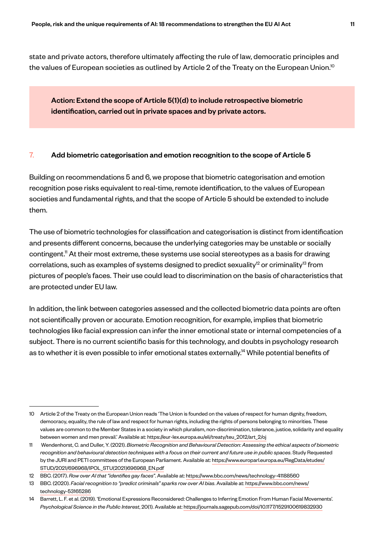state and private actors, therefore ultimately affecting the rule of law, democratic principles and the values of European societies as outlined by Article 2 of the Treaty on the European Union.<sup>10</sup>

Action: Extend the scope of Article 5(1)(d) to include retrospective biometric identification, carried out in private spaces and by private actors.

#### 7. Add biometric categorisation and emotion recognition to the scope of Article 5

Building on recommendations 5 and 6, we propose that biometric categorisation and emotion recognition pose risks equivalent to real-time, remote identification, to the values of European societies and fundamental rights, and that the scope of Article 5 should be extended to include them.

The use of biometric technologies for classification and categorisation is distinct from identification and presents different concerns, because the underlying categories may be unstable or socially contingent.<sup>11</sup> At their most extreme, these systems use social stereotypes as a basis for drawing correlations, such as examples of systems designed to predict sexuality<sup>12</sup> or criminality<sup>13</sup> from pictures of people's faces. Their use could lead to discrimination on the basis of characteristics that are protected under EU law.

In addition, the link between categories assessed and the collected biometric data points are often not scientifically proven or accurate. Emotion recognition, for example, implies that biometric technologies like facial expression can infer the inner emotional state or internal competencies of a subject. There is no current scientific basis for this technology, and doubts in psychology research as to whether it is even possible to infer emotional states externally.<sup>14</sup> While potential benefits of

<sup>10</sup> Article 2 of the Treaty on the European Union reads 'The Union is founded on the values of respect for human dignity, freedom, democracy, equality, the rule of law and respect for human rights, including the rights of persons belonging to minorities. These values are common to the Member States in a society in which pluralism, non-discrimination, tolerance, justice, solidarity and equality between women and men prevail.' Available at: https://eur-lex.europa.eu/eli/treaty/teu\_2012/art\_2/oj

<sup>11</sup> Wendenhorst, C. and Duller, Y. (2021). *Biometric Recognition and Behavioural Detection: Assessing the ethical aspects of biometric recognition and behavioural detection techniques with a focus on their current and future use in public spaces*. Study Requested by the JURI and PETI committees of the European Parliament. Available at: https://www.europarl.europa.eu/RegData/etudes/ STUD/2021/696968/IPOL\_STU(2021)696968\_EN.pdf

<sup>12</sup> BBC. (2017). *Row over AI that "identifies gay faces"*. Available at: https://www.bbc.com/news/technology-41188560

<sup>13</sup> BBC. (2020). *Facial recognition to "predict criminals" sparks row over AI bias*. Available at: https://www.bbc.com/news/ technology-53165286

<sup>14</sup> Barrett, L. F. et al. (2019). 'Emotional Expressions Reconsidered: Challenges to Inferring Emotion From Human Facial Movements'. *Psychological Science in the Public Interest*, 20(1). Available at: https://journals.sagepub.com/doi/10.1177/1529100619832930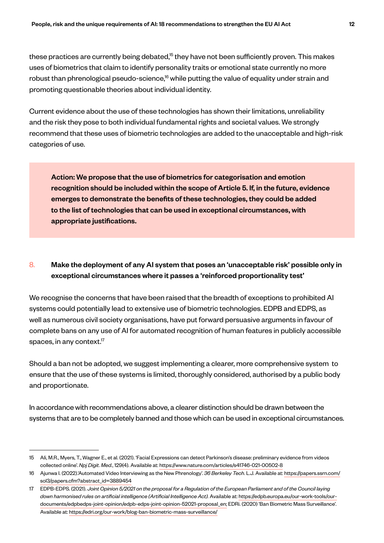these practices are currently being debated, $15$  they have not been sufficiently proven. This makes uses of biometrics that claim to identify personality traits or emotional state currently no more robust than phrenological pseudo-science,<sup>16</sup> while putting the value of equality under strain and promoting questionable theories about individual identity.

Current evidence about the use of these technologies has shown their limitations, unreliability and the risk they pose to both individual fundamental rights and societal values. We strongly recommend that these uses of biometric technologies are added to the unacceptable and high-risk categories of use.

Action: We propose that the use of biometrics for categorisation and emotion recognition should be included within the scope of Article 5. If, in the future, evidence emerges to demonstrate the benefits of these technologies, they could be added to the list of technologies that can be used in exceptional circumstances, with appropriate justifications.

# 8. Make the deployment of any AI system that poses an 'unacceptable risk' possible only in exceptional circumstances where it passes a 'reinforced proportionality test'

We recognise the concerns that have been raised that the breadth of exceptions to prohibited AI systems could potentially lead to extensive use of biometric technologies. EDPB and EDPS, as well as numerous civil society organisations, have put forward persuasive arguments in favour of complete bans on any use of AI for automated recognition of human features in publicly accessible spaces, in any context. $17$ 

Should a ban not be adopted, we suggest implementing a clearer, more comprehensive system to ensure that the use of these systems is limited, thoroughly considered, authorised by a public body and proportionate.

In accordance with recommendations above, a clearer distinction should be drawn between the systems that are to be completely banned and those which can be used in exceptional circumstances.

<sup>15</sup> Ali, M.R., Myers, T., Wagner E., et al. (2021). 'Facial Expressions can detect Parkinson's disease: preliminary evidence from videos collected online'. *Npj Digit. Med.*, 129(4). Available at: https://www.nature.com/articles/s41746-021-00502-8

<sup>16</sup> Ajunwa I. (2022).'Automated Video Interviewing as the New Phrenology'. *36 Berkeley Tech*. L.J. Available at: https://papers.ssrn.com/ sol3/papers.cfm?abstract\_id=3889454

<sup>17</sup> EDPB-EDPS. (2021). *Joint Opinion 5/2021 on the proposal for a Regulation of the European Parliament and of the Council laying down harmonised rules on artificial intelligence (Artificial Intelligence Act).* Available at: https://edpb.europa.eu/our-work-tools/ourdocuments/edpbedps-joint-opinion/edpb-edps-joint-opinion-52021-proposal\_en; EDRi. (2020) 'Ban Biometric Mass Surveillance'. Available at: https://edri.org/our-work/blog-ban-biometric-mass-surveillance/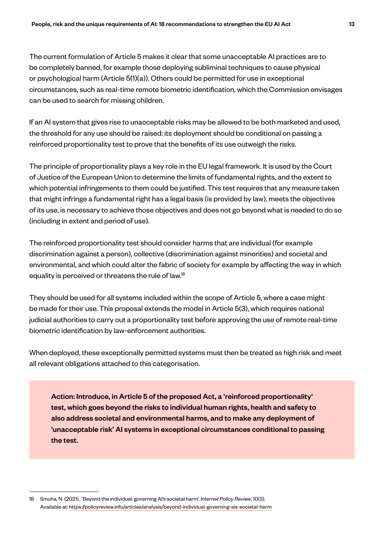The current formulation of Article 5 makes it clear that some unacceptable AI practices are to be completely banned, for example those deploying subliminal techniques to cause physical or psychological harm (Article 5(1)(a)). Others could be permitted for use in exceptional circumstances, such as real-time remote biometric identification, which the Commission envisages can be used to search for missing children.

If an AI system that gives rise to unacceptable risks may be allowed to be both marketed and used, the threshold for any use should be raised: its deployment should be conditional on passing a reinforced proportionality test to prove that the benefits of its use outweigh the risks.

The principle of proportionality plays a key role in the EU legal framework. It is used by the Court of Justice of the European Union to determine the limits of fundamental rights, and the extent to which potential infringements to them could be justified. This test requires that any measure taken that might infringe a fundamental right has a legal basis (is provided by law), meets the objectives of its use, is necessary to achieve those objectives and does not go beyond what is needed to do so (including in extent and period of use).

The reinforced proportionality test should consider harms that are individual (for example discrimination against a person), collective (discrimination against minorities) and societal and environmental, and which could alter the fabric of society for example by affecting the way in which equality is perceived or threatens the rule of law.<sup>18</sup>

They should be used for all systems included within the scope of Article 5, where a case might be made for their use. This proposal extends the model in Article 5(3), which requires national judicial authorities to carry out a proportionality test before approving the use of remote real-time biometric identification by law-enforcement authorities.

When deployed, these exceptionally permitted systems must then be treated as high risk and meet all relevant obligations attached to this categorisation.

Action: Introduce, in Article 5 of the proposed Act, a 'reinforced proportionality' test, which goes beyond the risks to individual human rights, health and safety to also address societal and environmental harms, and to make any deployment of 'unacceptable risk' AI systems in exceptional circumstances conditional to passing the test.

<sup>18</sup> Smuha, N. (2021). 'Beyond the individual: governing AI's societal harm'. *Internet Policy Review*, 10(3). Available at: https://policyreview.info/articles/analysis/beyond-individual-governing-ais-societal-harm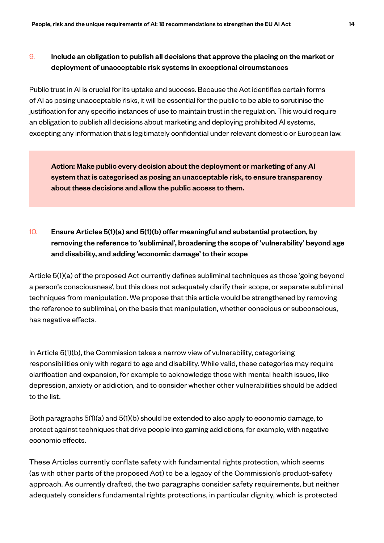# $9.$  Include an obligation to publish all decisions that approve the placing on the market or deployment of unacceptable risk systems in exceptional circumstances

Public trust in AI is crucial for its uptake and success. Because the Act identifies certain forms of AI as posing unacceptable risks, it will be essential for the public to be able to scrutinise the justification for any specific instances of use to maintain trust in the regulation. This would require an obligation to publish all decisions about marketing and deploying prohibited AI systems, excepting any information thatis legitimately confidential under relevant domestic or European law.

Action: Make public every decision about the deployment or marketing of any AI system that is categorised as posing an unacceptable risk, to ensure transparency about these decisions and allow the public access to them.

# 10. Ensure Articles 5(1)(a) and 5(1)(b) offer meaningful and substantial protection, by removing the reference to 'subliminal', broadening the scope of 'vulnerability' beyond age and disability, and adding 'economic damage' to their scope

Article 5(1)(a) of the proposed Act currently defines subliminal techniques as those 'going beyond a person's consciousness', but this does not adequately clarify their scope, or separate subliminal techniques from manipulation. We propose that this article would be strengthened by removing the reference to subliminal, on the basis that manipulation, whether conscious or subconscious, has negative effects.

In Article 5(1)(b), the Commission takes a narrow view of vulnerability, categorising responsibilities only with regard to age and disability. While valid, these categories may require clarification and expansion, for example to acknowledge those with mental health issues, like depression, anxiety or addiction, and to consider whether other vulnerabilities should be added to the list.

Both paragraphs 5(1)(a) and 5(1)(b) should be extended to also apply to economic damage, to protect against techniques that drive people into gaming addictions, for example, with negative economic effects.

These Articles currently conflate safety with fundamental rights protection, which seems (as with other parts of the proposed Act) to be a legacy of the Commission's product-safety approach. As currently drafted, the two paragraphs consider safety requirements, but neither adequately considers fundamental rights protections, in particular dignity, which is protected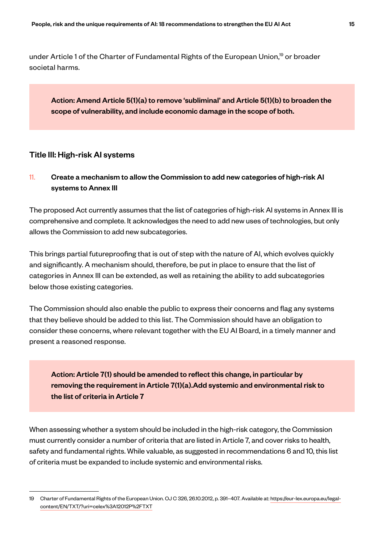under Article 1 of the Charter of Fundamental Rights of the European Union,<sup>19</sup> or broader societal harms.

Action: Amend Article 5(1)(a) to remove 'subliminal' and Article 5(1)(b) to broaden the scope of vulnerability, and include economic damage in the scope of both.

#### Title III: High-risk AI systems

11. Create a mechanism to allow the Commission to add new categories of high-risk AI systems to Annex III

The proposed Act currently assumes that the list of categories of high-risk AI systems in Annex III is comprehensive and complete. It acknowledges the need to add new uses of technologies, but only allows the Commission to add new subcategories.

This brings partial futureproofing that is out of step with the nature of AI, which evolves quickly and significantly. A mechanism should, therefore, be put in place to ensure that the list of categories in Annex III can be extended, as well as retaining the ability to add subcategories below those existing categories.

The Commission should also enable the public to express their concerns and flag any systems that they believe should be added to this list. The Commission should have an obligation to consider these concerns, where relevant together with the EU AI Board, in a timely manner and present a reasoned response.

Action: Article 7(1) should be amended to reflect this change, in particular by removing the requirement in Article 7(1)(a).Add systemic and environmental risk to the list of criteria in Article 7

When assessing whether a system should be included in the high-risk category, the Commission must currently consider a number of criteria that are listed in Article 7, and cover risks to health, safety and fundamental rights. While valuable, as suggested in recommendations 6 and 10, this list of criteria must be expanded to include systemic and environmental risks.

<sup>19</sup> Charter of Fundamental Rights of the European Union. OJ C 326, 26.10.2012, p. 391–407. Available at: https://eur-lex.europa.eu/legalcontent/EN/TXT/?uri=celex%3A12012P%2FTXT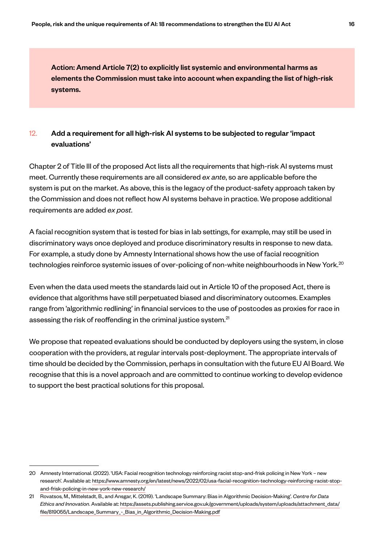Action: Amend Article 7(2) to explicitly list systemic and environmental harms as elements the Commission must take into account when expanding the list of high-risk systems.

# 12. Add a requirement for all high-risk AI systems to be subjected to regular 'impact evaluations'

Chapter 2 of Title III of the proposed Act lists all the requirements that high-risk AI systems must meet. Currently these requirements are all considered *ex ante*, so are applicable before the system is put on the market. As above, this is the legacy of the product-safety approach taken by the Commission and does not reflect how AI systems behave in practice. We propose additional requirements are added *ex post*.

A facial recognition system that is tested for bias in lab settings, for example, may still be used in discriminatory ways once deployed and produce discriminatory results in response to new data. For example, a study done by Amnesty International shows how the use of facial recognition technologies reinforce systemic issues of over-policing of non-white neighbourhoods in New York.<sup>20</sup>

Even when the data used meets the standards laid out in Article 10 of the proposed Act, there is evidence that algorithms have still perpetuated biased and discriminatory outcomes. Examples range from 'algorithmic redlining' in financial services to the use of postcodes as proxies for race in assessing the risk of reoffending in the criminal justice system.<sup>21</sup>

We propose that repeated evaluations should be conducted by deployers using the system, in close cooperation with the providers, at regular intervals post-deployment. The appropriate intervals of time should be decided by the Commission, perhaps in consultation with the future EU AI Board. We recognise that this is a novel approach and are committed to continue working to develop evidence to support the best practical solutions for this proposal.

<sup>20</sup> Amnesty International. (2022). 'USA: Facial recognition technology reinforcing racist stop-and-frisk policing in New York – new research'. Available at: https://www.amnesty.org/en/latest/news/2022/02/usa-facial-recognition-technology-reinforcing-racist-stopand-frisk-policing-in-new-york-new-research/

<sup>21</sup> Rovatsos, M., Mittelstadt, B., and Ansgar, K. (2019). 'Landscape Summary: Bias in Algorithmic Decision-Making'. *Centre for Data Ethics and Innovation*. Available at: https://assets.publishing.service.gov.uk/government/uploads/system/uploads/attachment\_data/ file/819055/Landscape\_Summary\_-\_Bias\_in\_Algorithmic\_Decision-Making.pdf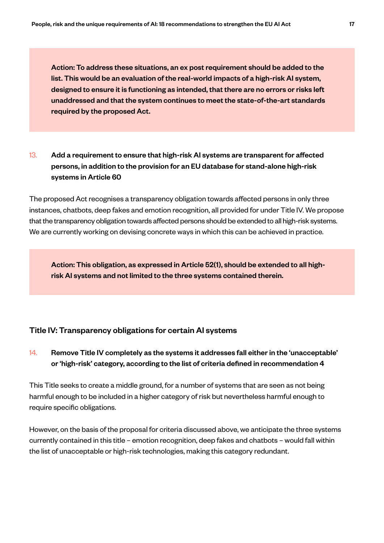Action: To address these situations, an ex post requirement should be added to the list. This would be an evaluation of the real-world impacts of a high-risk AI system, designed to ensure it is functioning as intended, that there are no errors or risks left unaddressed and that the system continues to meet the state-of-the-art standards required by the proposed Act.

# 13. Add a requirement to ensure that high-risk AI systems are transparent for affected persons, in addition to the provision for an EU database for stand-alone high-risk systems in Article 60

The proposed Act recognises a transparency obligation towards affected persons in only three instances, chatbots, deep fakes and emotion recognition, all provided for under Title IV. We propose that the transparency obligation towards affected persons should be extended to all high-risk systems. We are currently working on devising concrete ways in which this can be achieved in practice.

Action: This obligation, as expressed in Article 52(1), should be extended to all highrisk AI systems and not limited to the three systems contained therein.

#### Title IV: Transparency obligations for certain AI systems

# 14. Remove Title IV completely as the systems it addresses fall either in the 'unacceptable' or 'high-risk' category, according to the list of criteria defined in recommendation 4

This Title seeks to create a middle ground, for a number of systems that are seen as not being harmful enough to be included in a higher category of risk but nevertheless harmful enough to require specific obligations.

However, on the basis of the proposal for criteria discussed above, we anticipate the three systems currently contained in this title – emotion recognition, deep fakes and chatbots – would fall within the list of unacceptable or high-risk technologies, making this category redundant.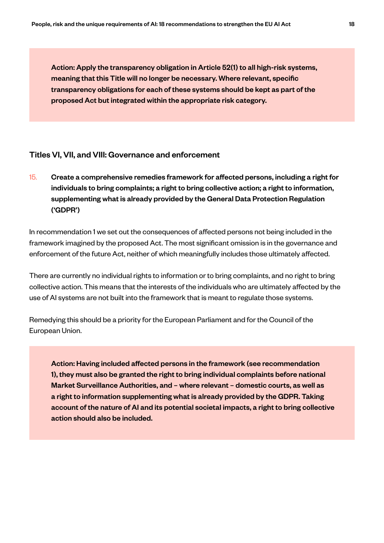Action: Apply the transparency obligation in Article 52(1) to all high-risk systems, meaning that this Title will no longer be necessary. Where relevant, specific transparency obligations for each of these systems should be kept as part of the proposed Act but integrated within the appropriate risk category.

#### Titles VI, VII, and VIII: Governance and enforcement

15. Create a comprehensive remedies framework for affected persons, including a right for individuals to bring complaints; a right to bring collective action; a right to information, supplementing what is already provided by the General Data Protection Regulation ('GDPR')

In recommendation 1 we set out the consequences of affected persons not being included in the framework imagined by the proposed Act. The most significant omission is in the governance and enforcement of the future Act, neither of which meaningfully includes those ultimately affected.

There are currently no individual rights to information or to bring complaints, and no right to bring collective action. This means that the interests of the individuals who are ultimately affected by the use of AI systems are not built into the framework that is meant to regulate those systems.

Remedying this should be a priority for the European Parliament and for the Council of the European Union.

Action: Having included affected persons in the framework (see recommendation 1), they must also be granted the right to bring individual complaints before national Market Surveillance Authorities, and – where relevant – domestic courts, as well as a right to information supplementing what is already provided by the GDPR. Taking account of the nature of AI and its potential societal impacts, a right to bring collective action should also be included.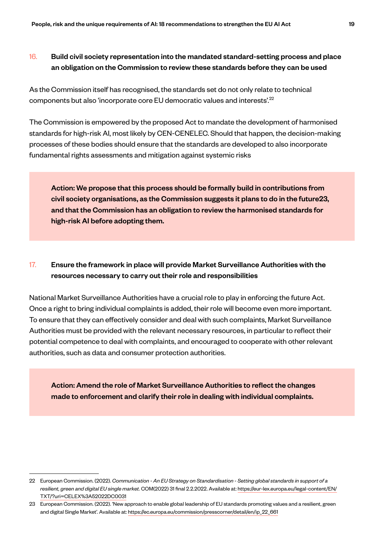# 16. Build civil society representation into the mandated standard-setting process and place an obligation on the Commission to review these standards before they can be used

As the Commission itself has recognised, the standards set do not only relate to technical components but also 'incorporate core EU democratic values and interests'.22

The Commission is empowered by the proposed Act to mandate the development of harmonised standards for high-risk AI, most likely by CEN-CENELEC. Should that happen, the decision-making processes of these bodies should ensure that the standards are developed to also incorporate fundamental rights assessments and mitigation against systemic risks

Action: We propose that this process should be formally build in contributions from civil society organisations, as the Commission suggests it plans to do in the future23, and that the Commission has an obligation to review the harmonised standards for high-risk AI before adopting them.

# 17. Ensure the framework in place will provide Market Surveillance Authorities with the resources necessary to carry out their role and responsibilities

National Market Surveillance Authorities have a crucial role to play in enforcing the future Act. Once a right to bring individual complaints is added, their role will become even more important. To ensure that they can effectively consider and deal with such complaints, Market Surveillance Authorities must be provided with the relevant necessary resources, in particular to reflect their potential competence to deal with complaints, and encouraged to cooperate with other relevant authorities, such as data and consumer protection authorities.

Action: Amend the role of Market Surveillance Authorities to reflect the changes made to enforcement and clarify their role in dealing with individual complaints.

<sup>22</sup> European Commission. (2022). *Communication - An EU Strategy on Standardisation - Setting global standards in support of a resilient, green and digital EU single market.* COM(2022) 31 final 2.2.2022. Available at: https://eur-lex.europa.eu/legal-content/EN/ TXT/?uri=CELEX%3A52022DC0031

<sup>23</sup> European Commission. (2022). 'New approach to enable global leadership of EU standards promoting values and a resilient, green and digital Single Market'. Available at: https://ec.europa.eu/commission/presscorner/detail/en/ip\_22\_661